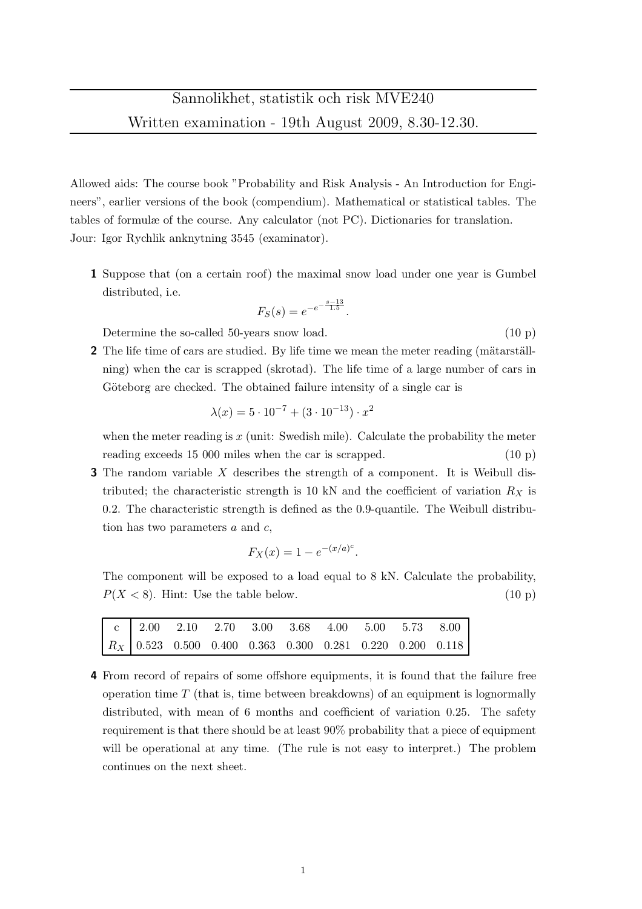Allowed aids: The course book "Probability and Risk Analysis - An Introduction for Engineers", earlier versions of the book (compendium). Mathematical or statistical tables. The tables of formulæ of the course. Any calculator (not PC). Dictionaries for translation. Jour: Igor Rychlik anknytning 3545 (examinator).

1 Suppose that (on a certain roof) the maximal snow load under one year is Gumbel distributed, i.e.

$$
F_S(s) = e^{-e^{-\frac{s-13}{1.5}}}.
$$

Determine the so-called 50-years snow load. (10 p)

2 The life time of cars are studied. By life time we mean the meter reading (mätarställning) when the car is scrapped (skrotad). The life time of a large number of cars in Göteborg are checked. The obtained failure intensity of a single car is

$$
\lambda(x) = 5 \cdot 10^{-7} + (3 \cdot 10^{-13}) \cdot x^2
$$

when the meter reading is  $x$  (unit: Swedish mile). Calculate the probability the meter reading exceeds 15 000 miles when the car is scrapped. (10 p)

**3** The random variable  $X$  describes the strength of a component. It is Weibull distributed; the characteristic strength is 10 kN and the coefficient of variation  $R_X$  is 0.2. The characteristic strength is defined as the 0.9-quantile. The Weibull distribution has two parameters  $a$  and  $c$ ,

$$
F_X(x) = 1 - e^{-(x/a)^c}.
$$

The component will be exposed to a load equal to 8 kN. Calculate the probability,  $P(X < 8)$ . Hint: Use the table below. (10 p)

|  | $R_X$ 0.523 0.500 0.400 0.363 0.300 0.281 0.220 0.200 0.118 |  |  |  |  |
|--|-------------------------------------------------------------|--|--|--|--|

4 From record of repairs of some offshore equipments, it is found that the failure free operation time  $T$  (that is, time between breakdowns) of an equipment is lognormally distributed, with mean of 6 months and coefficient of variation 0.25. The safety requirement is that there should be at least 90% probability that a piece of equipment will be operational at any time. (The rule is not easy to interpret.) The problem continues on the next sheet.